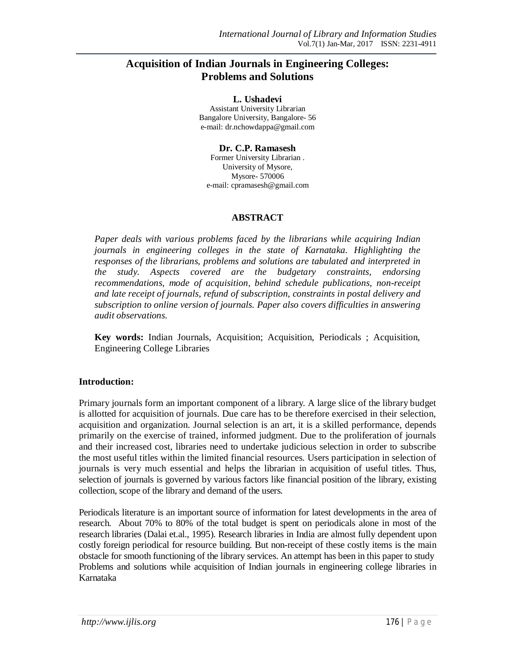# **Acquisition of Indian Journals in Engineering Colleges: Problems and Solutions**

**L. Ushadevi** Assistant University Librarian Bangalore University, Bangalore- 56 e-mail: dr.nchowdappa@gmail.com

**Dr. C.P. Ramasesh** Former University Librarian . University of Mysore, Mysore- 570006 e-mail: cpramasesh@gmail.com

### **ABSTRACT**

*Paper deals with various problems faced by the librarians while acquiring Indian journals in engineering colleges in the state of Karnataka. Highlighting the responses of the librarians, problems and solutions are tabulated and interpreted in the study. Aspects covered are the budgetary constraints, endorsing recommendations, mode of acquisition, behind schedule publications, non-receipt and late receipt of journals, refund of subscription, constraints in postal delivery and subscription to online version of journals. Paper also covers difficulties in answering audit observations.*

**Key words:** Indian Journals, Acquisition; Acquisition, Periodicals ; Acquisition, Engineering College Libraries

# **Introduction:**

Primary journals form an important component of a library. A large slice of the library budget is allotted for acquisition of journals. Due care has to be therefore exercised in their selection, acquisition and organization. Journal selection is an art, it is a skilled performance, depends primarily on the exercise of trained, informed judgment. Due to the proliferation of journals and their increased cost, libraries need to undertake judicious selection in order to subscribe the most useful titles within the limited financial resources. Users participation in selection of journals is very much essential and helps the librarian in acquisition of useful titles. Thus, selection of journals is governed by various factors like financial position of the library, existing collection, scope of the library and demand of the users.

Periodicals literature is an important source of information for latest developments in the area of research. About 70% to 80% of the total budget is spent on periodicals alone in most of the research libraries (Dalai et.al., 1995). Research libraries in India are almost fully dependent upon costly foreign periodical for resource building. But non-receipt of these costly items is the main obstacle for smooth functioning of the library services. An attempt has been in this paper to study Problems and solutions while acquisition of Indian journals in engineering college libraries in Karnataka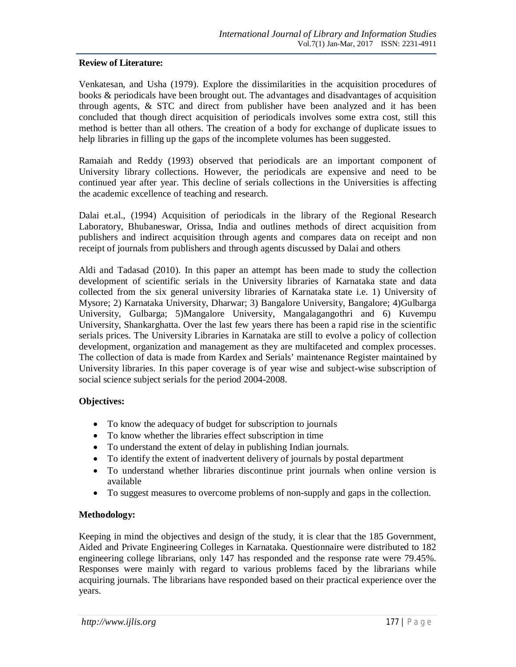### **Review of Literature:**

Venkatesan, and Usha (1979). Explore the dissimilarities in the acquisition procedures of books & periodicals have been brought out. The advantages and disadvantages of acquisition through agents,  $\&$  STC and direct from publisher have been analyzed and it has been concluded that though direct acquisition of periodicals involves some extra cost, still this method is better than all others. The creation of a body for exchange of duplicate issues to help libraries in filling up the gaps of the incomplete volumes has been suggested.

Ramaiah and Reddy (1993) observed that periodicals are an important component of University library collections. However, the periodicals are expensive and need to be continued year after year. This decline of serials collections in the Universities is affecting the academic excellence of teaching and research.

Dalai et.al., (1994) Acquisition of periodicals in the library of the Regional Research Laboratory, Bhubaneswar, Orissa, India and outlines methods of direct acquisition from publishers and indirect acquisition through agents and compares data on receipt and non receipt of journals from publishers and through agents discussed by Dalai and others

Aldi and Tadasad (2010). In this paper an attempt has been made to study the collection development of scientific serials in the University libraries of Karnataka state and data collected from the six general university libraries of Karnataka state i.e. 1) University of Mysore; 2) Karnataka University, Dharwar; 3) Bangalore University, Bangalore; 4)Gulbarga University, Gulbarga; 5)Mangalore University, Mangalagangothri and 6) Kuvempu University, Shankarghatta. Over the last few years there has been a rapid rise in the scientific serials prices. The University Libraries in Karnataka are still to evolve a policy of collection development, organization and management as they are multifaceted and complex processes. The collection of data is made from Kardex and Serials' maintenance Register maintained by University libraries. In this paper coverage is of year wise and subject-wise subscription of social science subject serials for the period 2004-2008.

# **Objectives:**

- To know the adequacy of budget for subscription to journals
- To know whether the libraries effect subscription in time
- To understand the extent of delay in publishing Indian journals.
- To identify the extent of inadvertent delivery of journals by postal department
- To understand whether libraries discontinue print journals when online version is available
- To suggest measures to overcome problems of non-supply and gaps in the collection.

#### **Methodology:**

Keeping in mind the objectives and design of the study, it is clear that the 185 Government, Aided and Private Engineering Colleges in Karnataka. Questionnaire were distributed to 182 engineering college librarians, only 147 has responded and the response rate were 79.45%. Responses were mainly with regard to various problems faced by the librarians while acquiring journals. The librarians have responded based on their practical experience over the years.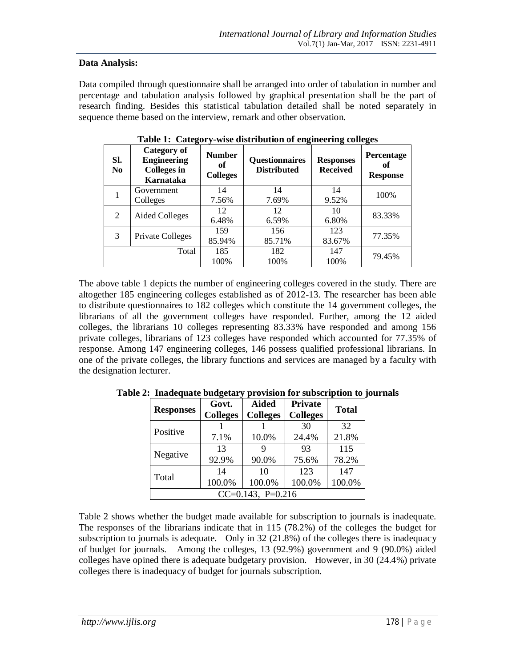### **Data Analysis:**

Data compiled through questionnaire shall be arranged into order of tabulation in number and percentage and tabulation analysis followed by graphical presentation shall be the part of research finding. Besides this statistical tabulation detailed shall be noted separately in sequence theme based on the interview, remark and other observation.

| SI.<br>N <sub>0</sub> | Category of<br><b>Engineering</b><br><b>Colleges in</b><br>Karnataka | <b>Number</b><br>oť<br><b>Colleges</b> | <b>Questionnaires</b><br><b>Distributed</b> | <b>Responses</b><br><b>Received</b> | <b>Percentage</b><br>of<br><b>Response</b> |
|-----------------------|----------------------------------------------------------------------|----------------------------------------|---------------------------------------------|-------------------------------------|--------------------------------------------|
|                       | Government                                                           | 14                                     | 14                                          | 14                                  | 100%                                       |
|                       | Colleges                                                             | 7.56%                                  | 7.69%                                       | 9.52%                               |                                            |
| 2                     | Aided Colleges                                                       | 12                                     | 12                                          | 10                                  | 83.33%                                     |
|                       |                                                                      | 6.48%                                  | 6.59%                                       | 6.80%                               |                                            |
| 3                     | <b>Private Colleges</b>                                              | 159                                    | 156                                         | 123                                 | 77.35%                                     |
|                       |                                                                      | 85.94%                                 | 85.71%                                      | 83.67%                              |                                            |
|                       | Total                                                                | 185                                    | 182                                         | 147                                 | 79.45%                                     |
|                       |                                                                      | 100%                                   | 100%                                        | 100%                                |                                            |

**Table 1: Category-wise distribution of engineering colleges**

The above table 1 depicts the number of engineering colleges covered in the study. There are altogether 185 engineering colleges established as of 2012-13. The researcher has been able to distribute questionnaires to 182 colleges which constitute the 14 government colleges, the librarians of all the government colleges have responded. Further, among the 12 aided colleges, the librarians 10 colleges representing 83.33% have responded and among 156 private colleges, librarians of 123 colleges have responded which accounted for 77.35% of response. Among 147 engineering colleges, 146 possess qualified professional librarians. In one of the private colleges, the library functions and services are managed by a faculty with the designation lecturer.

| <b>Responses</b>       | Govt.<br><b>Colleges</b> | <b>Aided</b><br><b>Colleges</b> | Private<br><b>Colleges</b> |        |  |
|------------------------|--------------------------|---------------------------------|----------------------------|--------|--|
| Positive               |                          |                                 | 30                         | 32     |  |
|                        | 7.1%                     | 10.0%                           | 24.4%                      | 21.8%  |  |
|                        | 13                       | 9                               | 93                         | 115    |  |
| Negative               | 92.9%                    | 90.0%                           | 75.6%                      | 78.2%  |  |
|                        | 14                       | 10                              | 123                        | 147    |  |
| Total                  | 100.0%                   | 100.0%                          | 100.0%                     | 100.0% |  |
| $CC=0.143$ , $P=0.216$ |                          |                                 |                            |        |  |

**Table 2: Inadequate budgetary provision for subscription to journals**

Table 2 shows whether the budget made available for subscription to journals is inadequate. The responses of the librarians indicate that in 115 (78.2%) of the colleges the budget for subscription to journals is adequate. Only in 32 (21.8%) of the colleges there is inadequacy of budget for journals. Among the colleges, 13 (92.9%) government and 9 (90.0%) aided colleges have opined there is adequate budgetary provision. However, in 30 (24.4%) private colleges there is inadequacy of budget for journals subscription.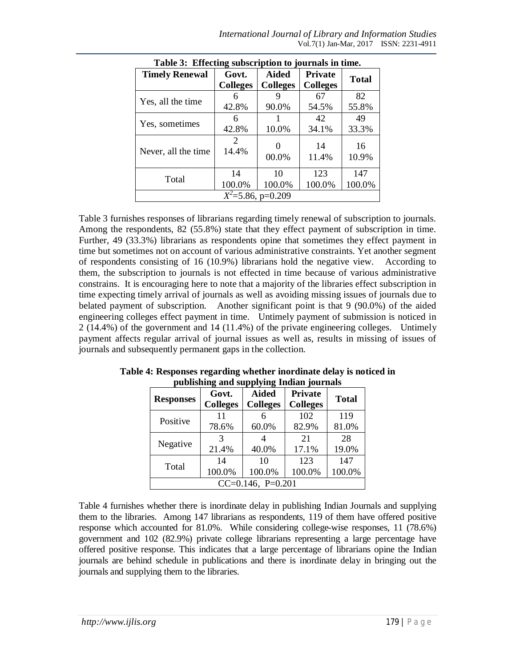| rapic of Effecting Subscription to journals in thing. |                                      |                                 |                                   |               |  |  |  |
|-------------------------------------------------------|--------------------------------------|---------------------------------|-----------------------------------|---------------|--|--|--|
| <b>Timely Renewal</b>                                 | Govt.<br><b>Colleges</b>             | <b>Aided</b><br><b>Colleges</b> | <b>Private</b><br><b>Colleges</b> | <b>Total</b>  |  |  |  |
| Yes, all the time                                     | 6<br>42.8%                           | 90.0%                           | 67<br>54.5%                       | 82<br>55.8%   |  |  |  |
| Yes, sometimes                                        | 6<br>42.8%                           | 10.0%                           | 42<br>34.1%                       | 49<br>33.3%   |  |  |  |
| Never, all the time                                   | $\mathcal{D}_{\mathcal{L}}$<br>14.4% | 00.0%                           | 14<br>11.4%                       | 16<br>10.9%   |  |  |  |
| Total                                                 | 14<br>100.0%                         | 10<br>100.0%                    | 123<br>100.0%                     | 147<br>100.0% |  |  |  |
|                                                       | $X^2$ =5.86, p=0.209                 |                                 |                                   |               |  |  |  |

**Table 3: Effecting subscription to journals in time.**

Table 3 furnishes responses of librarians regarding timely renewal of subscription to journals. Among the respondents, 82 (55.8%) state that they effect payment of subscription in time. Further, 49 (33.3%) librarians as respondents opine that sometimes they effect payment in time but sometimes not on account of various administrative constraints. Yet another segment of respondents consisting of 16 (10.9%) librarians hold the negative view. According to them, the subscription to journals is not effected in time because of various administrative constrains. It is encouraging here to note that a majority of the libraries effect subscription in time expecting timely arrival of journals as well as avoiding missing issues of journals due to belated payment of subscription. Another significant point is that 9 (90.0%) of the aided engineering colleges effect payment in time. Untimely payment of submission is noticed in 2 (14.4%) of the government and 14 (11.4%) of the private engineering colleges. Untimely payment affects regular arrival of journal issues as well as, results in missing of issues of journals and subsequently permanent gaps in the collection.

| <b>Responses</b>       | Govt.<br><b>Colleges</b> | <b>Aided</b><br><b>Colleges</b> | Private<br><b>Colleges</b> | <b>Total</b> |  |
|------------------------|--------------------------|---------------------------------|----------------------------|--------------|--|
| Positive               | 11                       |                                 | 102                        | 119          |  |
|                        | 78.6%                    | 60.0%                           | 82.9%                      | 81.0%        |  |
|                        | 3                        |                                 | 21                         | 28           |  |
| Negative               | 21.4%                    | 40.0%                           | 17.1%                      | 19.0%        |  |
|                        | 14                       | 10                              | 123                        | 147          |  |
| Total                  | 100.0%                   | 100.0%                          | 100.0%                     | 100.0%       |  |
| $CC=0.146$ , $P=0.201$ |                          |                                 |                            |              |  |

**Table 4: Responses regarding whether inordinate delay is noticed in publishing and supplying Indian journals**

Table 4 furnishes whether there is inordinate delay in publishing Indian Journals and supplying them to the libraries. Among 147 librarians as respondents, 119 of them have offered positive response which accounted for 81.0%. While considering college-wise responses, 11 (78.6%) government and 102 (82.9%) private college librarians representing a large percentage have offered positive response. This indicates that a large percentage of librarians opine the Indian journals are behind schedule in publications and there is inordinate delay in bringing out the journals and supplying them to the libraries.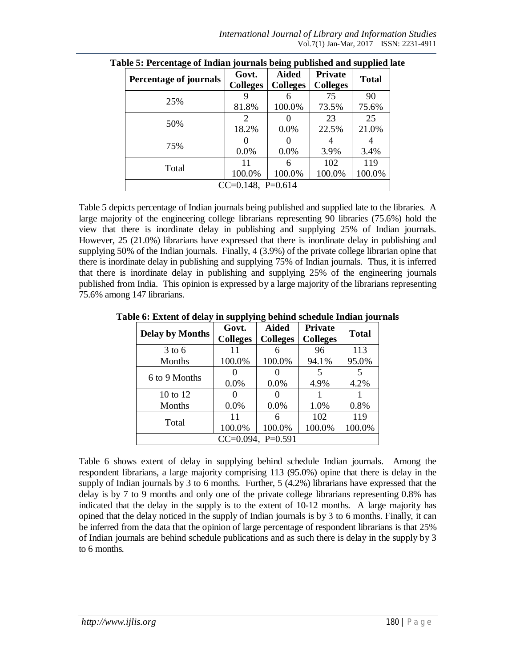| .<br><b>Percentage of journals</b> | Govt.<br><b>Colleges</b> | יו הי<br><b>Aided</b><br><b>Colleges</b> | <b>Private</b><br><b>Colleges</b> | <b>Total</b>  |
|------------------------------------|--------------------------|------------------------------------------|-----------------------------------|---------------|
| 25%                                | 81.8%                    | 100.0%                                   | 75<br>73.5%                       | 90<br>75.6%   |
| 50%                                | 2<br>18.2%               | 0.0%                                     | 23<br>22.5%                       | 25<br>21.0%   |
| 75%                                | 0.0%                     | 0.0%                                     | 3.9%                              | 3.4%          |
| Total                              | 11<br>100.0%             | 6<br>100.0%                              | 102<br>100.0%                     | 119<br>100.0% |
|                                    | $CC=0.148$ , P=0.614     |                                          |                                   |               |

**Table 5: Percentage of Indian journals being published and supplied late**

Table 5 depicts percentage of Indian journals being published and supplied late to the libraries. A large majority of the engineering college librarians representing 90 libraries (75.6%) hold the view that there is inordinate delay in publishing and supplying 25% of Indian journals. However, 25 (21.0%) librarians have expressed that there is inordinate delay in publishing and supplying 50% of the Indian journals. Finally, 4 (3.9%) of the private college librarian opine that there is inordinate delay in publishing and supplying 75% of Indian journals. Thus, it is inferred that there is inordinate delay in publishing and supplying 25% of the engineering journals published from India. This opinion is expressed by a large majority of the librarians representing 75.6% among 147 librarians.

| <b>Delay by Months</b> | Govt.<br><b>Colleges</b> | <b>Aided</b><br><b>Colleges</b> | <b>Private</b><br><b>Colleges</b> | <b>Total</b> |  |
|------------------------|--------------------------|---------------------------------|-----------------------------------|--------------|--|
| $3$ to 6               | 11                       |                                 | 96                                | 113          |  |
| Months                 | 100.0%                   | 100.0%                          | 94.1%                             | 95.0%        |  |
| 6 to 9 Months          |                          |                                 | 5                                 | 5            |  |
|                        | 0.0%                     | 0.0%                            | 4.9%                              | 4.2%         |  |
| 10 to $12$             |                          |                                 |                                   |              |  |
| Months                 | 0.0%                     | 0.0%                            | 1.0%                              | 0.8%         |  |
|                        | 11                       |                                 | 102                               | 119          |  |
| Total                  | 100.0%                   | 100.0%                          | 100.0%                            | 100.0%       |  |
| $CC=0.094$ , $P=0.591$ |                          |                                 |                                   |              |  |

**Table 6: Extent of delay in supplying behind schedule Indian journals**

Table 6 shows extent of delay in supplying behind schedule Indian journals. Among the respondent librarians, a large majority comprising 113 (95.0%) opine that there is delay in the supply of Indian journals by 3 to 6 months. Further, 5 (4.2%) librarians have expressed that the delay is by 7 to 9 months and only one of the private college librarians representing 0.8% has indicated that the delay in the supply is to the extent of 10-12 months. A large majority has opined that the delay noticed in the supply of Indian journals is by 3 to 6 months. Finally, it can be inferred from the data that the opinion of large percentage of respondent librarians is that 25% of Indian journals are behind schedule publications and as such there is delay in the supply by 3 to 6 months.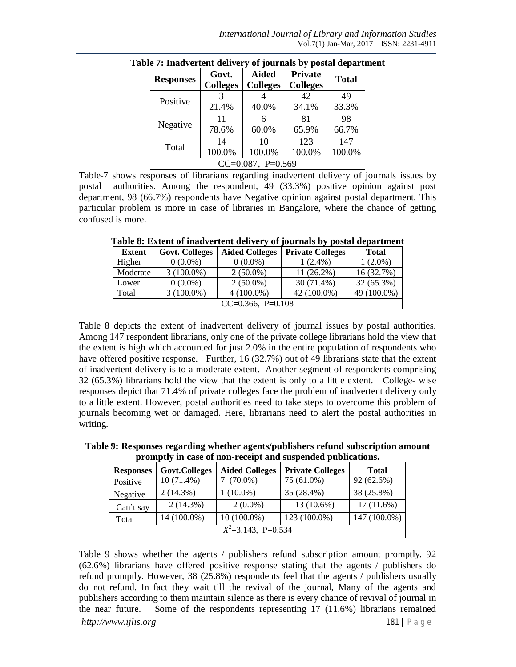| <b>Responses</b>     | Govt.<br><b>Colleges</b> | <b>Aided</b><br><b>Colleges</b> | <b>Private</b><br><b>Colleges</b> | <b>Total</b> |  |
|----------------------|--------------------------|---------------------------------|-----------------------------------|--------------|--|
| Positive             |                          |                                 | 42                                | 49           |  |
|                      | 21.4%                    | 40.0%                           | 34.1%                             | 33.3%        |  |
|                      | 11                       | 6                               | 81                                | 98           |  |
| Negative             | 78.6%                    | 60.0%                           | 65.9%                             | 66.7%        |  |
| Total                | 14                       | 10                              | 123                               | 147          |  |
|                      | 100.0%                   | 100.0%                          | 100.0%                            | 100.0%       |  |
| $CC=0.087$ , P=0.569 |                          |                                 |                                   |              |  |

**Table 7: Inadvertent delivery of journals by postal department**

Table-7 shows responses of librarians regarding inadvertent delivery of journals issues by postal authorities. Among the respondent, 49 (33.3%) positive opinion against post department, 98 (66.7%) respondents have Negative opinion against postal department. This particular problem is more in case of libraries in Bangalore, where the chance of getting confused is more.

| Extent                 | <b>Govt. Colleges</b> | <b>Aided Colleges</b> | <b>Private Colleges</b> | <b>Total</b> |  |  |
|------------------------|-----------------------|-----------------------|-------------------------|--------------|--|--|
| Higher                 | $0(0.0\%)$            | $0(0.0\%)$            | $1(2.4\%)$              | $1(2.0\%)$   |  |  |
| Moderate               | $3(100.0\%)$          | $2(50.0\%)$           | $11(26.2\%)$            | 16 (32.7%)   |  |  |
| Lower                  | $0(0.0\%)$            | $2(50.0\%)$           | $30(71.4\%)$            | 32 (65.3%)   |  |  |
| Total                  | $3(100.0\%)$          | $4(100.0\%)$          | $42(100.0\%)$           | 49 (100.0%)  |  |  |
| $CC=0.366$ , $P=0.108$ |                       |                       |                         |              |  |  |

**Table 8: Extent of inadvertent delivery of journals by postal department**

Table 8 depicts the extent of inadvertent delivery of journal issues by postal authorities. Among 147 respondent librarians, only one of the private college librarians hold the view that the extent is high which accounted for just 2.0% in the entire population of respondents who have offered positive response. Further, 16 (32.7%) out of 49 librarians state that the extent of inadvertent delivery is to a moderate extent. Another segment of respondents comprising 32 (65.3%) librarians hold the view that the extent is only to a little extent. College- wise responses depict that 71.4% of private colleges face the problem of inadvertent delivery only to a little extent. However, postal authorities need to take steps to overcome this problem of journals becoming wet or damaged. Here, librarians need to alert the postal authorities in writing.

**Table 9: Responses regarding whether agents/publishers refund subscription amount promptly in case of non-receipt and suspended publications.**

| <b>Responses</b>        | Govt.Colleges | <b>Aided Colleges</b> | <b>Private Colleges</b> | <b>Total</b> |  |  |
|-------------------------|---------------|-----------------------|-------------------------|--------------|--|--|
| Positive                | $10(71.4\%)$  | $7(70.0\%)$           | 75 (61.0%)              | 92 (62.6%)   |  |  |
| Negative                | 2(14.3%)      | $1(10.0\%)$           | 35 (28.4%)              | 38 (25.8%)   |  |  |
| Can't say               | $2(14.3\%)$   | $2(0.0\%)$            | 13 (10.6%)              | $17(11.6\%)$ |  |  |
| Total                   | 14 (100.0%)   | $10(100.0\%)$         | 123 (100.0%)            | 147 (100.0%) |  |  |
| $X^2 = 3.143$ , P=0.534 |               |                       |                         |              |  |  |

Table 9 shows whether the agents / publishers refund subscription amount promptly. 92 (62.6%) librarians have offered positive response stating that the agents / publishers do refund promptly. However, 38 (25.8%) respondents feel that the agents / publishers usually do not refund. In fact they wait till the revival of the journal, Many of the agents and publishers according to them maintain silence as there is every chance of revival of journal in the near future. Some of the respondents representing 17 (11.6%) librarians remained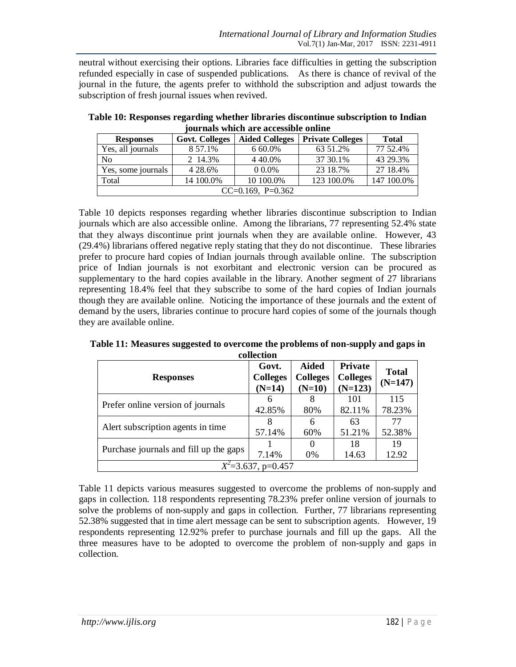neutral without exercising their options. Libraries face difficulties in getting the subscription refunded especially in case of suspended publications. As there is chance of revival of the journal in the future, the agents prefer to withhold the subscription and adjust towards the subscription of fresh journal issues when revived.

| Journals which are accessible online |                       |                       |                         |              |  |  |  |
|--------------------------------------|-----------------------|-----------------------|-------------------------|--------------|--|--|--|
| <b>Responses</b>                     | <b>Govt. Colleges</b> | <b>Aided Colleges</b> | <b>Private Colleges</b> | <b>Total</b> |  |  |  |
| Yes, all journals                    | 8 57.1%               | 6 60.0%               | 63 51.2%                | 77 52.4%     |  |  |  |
| N <sub>o</sub>                       | 2 14.3%               | 4 4 0.0%              | 37 30.1%                | 43 29.3%     |  |  |  |
| Yes, some journals                   | 4 28.6%               | $00.0\%$              | 23 18.7%                | 27 18.4%     |  |  |  |
| Total                                | 14 100.0%             | 10 100.0%             | 123 100.0%              | 147 100.0%   |  |  |  |
| $CC=0.169$ , $P=0.362$               |                       |                       |                         |              |  |  |  |

**Table 10: Responses regarding whether libraries discontinue subscription to Indian journals which are accessible online**

Table 10 depicts responses regarding whether libraries discontinue subscription to Indian journals which are also accessible online. Among the librarians, 77 representing 52.4% state that they always discontinue print journals when they are available online. However, 43 (29.4%) librarians offered negative reply stating that they do not discontinue. These libraries prefer to procure hard copies of Indian journals through available online. The subscription price of Indian journals is not exorbitant and electronic version can be procured as supplementary to the hard copies available in the library. Another segment of 27 librarians representing 18.4% feel that they subscribe to some of the hard copies of Indian journals though they are available online. Noticing the importance of these journals and the extent of demand by the users, libraries continue to procure hard copies of some of the journals though they are available online.

| сопесноп                               |                                      |                                             |                                         |                           |  |  |  |
|----------------------------------------|--------------------------------------|---------------------------------------------|-----------------------------------------|---------------------------|--|--|--|
| <b>Responses</b>                       | Govt.<br><b>Colleges</b><br>$(N=14)$ | <b>Aided</b><br><b>Colleges</b><br>$(N=10)$ | Private<br><b>Colleges</b><br>$(N=123)$ | <b>Total</b><br>$(N=147)$ |  |  |  |
| Prefer online version of journals      | 6<br>42.85%                          | 8<br>80%                                    | 101<br>82.11%                           | 115<br>78.23%             |  |  |  |
| A lert subscription agents in time     | 8<br>57.14%                          | 6<br>60%                                    | 63<br>51.21%                            | 77<br>52.38%              |  |  |  |
| Purchase journals and fill up the gaps | 7.14%                                | 0<br>0%                                     | 18<br>14.63                             | 19<br>12.92               |  |  |  |
| $X^2 = 3.637$ , p=0.457                |                                      |                                             |                                         |                           |  |  |  |

**Table 11: Measures suggested to overcome the problems of non-supply and gaps in collection**

Table 11 depicts various measures suggested to overcome the problems of non-supply and gaps in collection. 118 respondents representing 78.23% prefer online version of journals to solve the problems of non-supply and gaps in collection. Further, 77 librarians representing 52.38% suggested that in time alert message can be sent to subscription agents. However, 19 respondents representing 12.92% prefer to purchase journals and fill up the gaps. All the three measures have to be adopted to overcome the problem of non-supply and gaps in collection.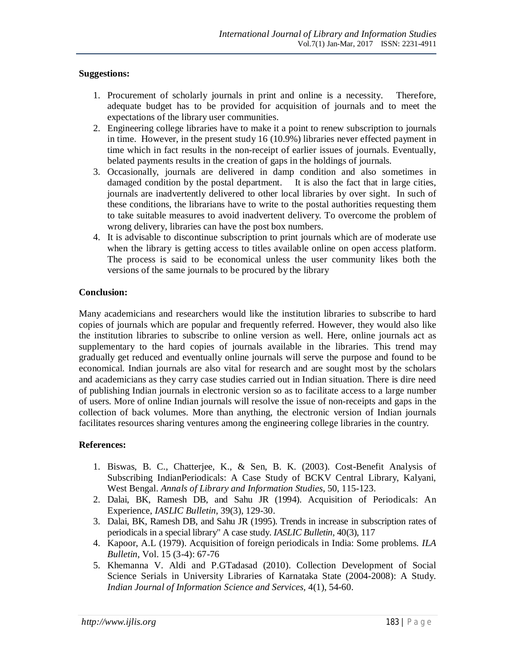### **Suggestions:**

- 1. Procurement of scholarly journals in print and online is a necessity. Therefore, adequate budget has to be provided for acquisition of journals and to meet the expectations of the library user communities.
- 2. Engineering college libraries have to make it a point to renew subscription to journals in time. However, in the present study 16 (10.9%) libraries never effected payment in time which in fact results in the non-receipt of earlier issues of journals. Eventually, belated payments results in the creation of gaps in the holdings of journals.
- 3. Occasionally, journals are delivered in damp condition and also sometimes in damaged condition by the postal department. It is also the fact that in large cities, journals are inadvertently delivered to other local libraries by over sight. In such of these conditions, the librarians have to write to the postal authorities requesting them to take suitable measures to avoid inadvertent delivery. To overcome the problem of wrong delivery, libraries can have the post box numbers.
- 4. It is advisable to discontinue subscription to print journals which are of moderate use when the library is getting access to titles available online on open access platform. The process is said to be economical unless the user community likes both the versions of the same journals to be procured by the library

# **Conclusion:**

Many academicians and researchers would like the institution libraries to subscribe to hard copies of journals which are popular and frequently referred. However, they would also like the institution libraries to subscribe to online version as well. Here, online journals act as supplementary to the hard copies of journals available in the libraries. This trend may gradually get reduced and eventually online journals will serve the purpose and found to be economical. Indian journals are also vital for research and are sought most by the scholars and academicians as they carry case studies carried out in Indian situation. There is dire need of publishing Indian journals in electronic version so as to facilitate access to a large number of users. More of online Indian journals will resolve the issue of non-receipts and gaps in the collection of back volumes. More than anything, the electronic version of Indian journals facilitates resources sharing ventures among the engineering college libraries in the country.

# **References:**

- 1. Biswas, B. C., Chatterjee, K., & Sen, B. K. (2003). Cost-Benefit Analysis of Subscribing IndianPeriodicals: A Case Study of BCKV Central Library, Kalyani, West Bengal. *Annals of Library and Information Studies*, 50, 115-123.
- 2. Dalai, BK, Ramesh DB, and Sahu JR (1994). Acquisition of Periodicals: An Experience, *IASLIC Bulletin*, 39(3), 129-30.
- 3. Dalai, BK, Ramesh DB, and Sahu JR (1995). Trends in increase in subscription rates of periodicals in a special library" A case study. *IASLIC Bulletin*, 40(3), 117
- 4. Kapoor, A.L (1979). Acquisition of foreign periodicals in India: Some problems. *ILA Bulletin*, Vol. 15 (3-4): 67-76
- 5. Khemanna V. Aldi and P.GTadasad (2010). Collection Development of Social Science Serials in University Libraries of Karnataka State (2004-2008): A Study. *Indian Journal of Information Science and Services,* 4(1), 54-60.